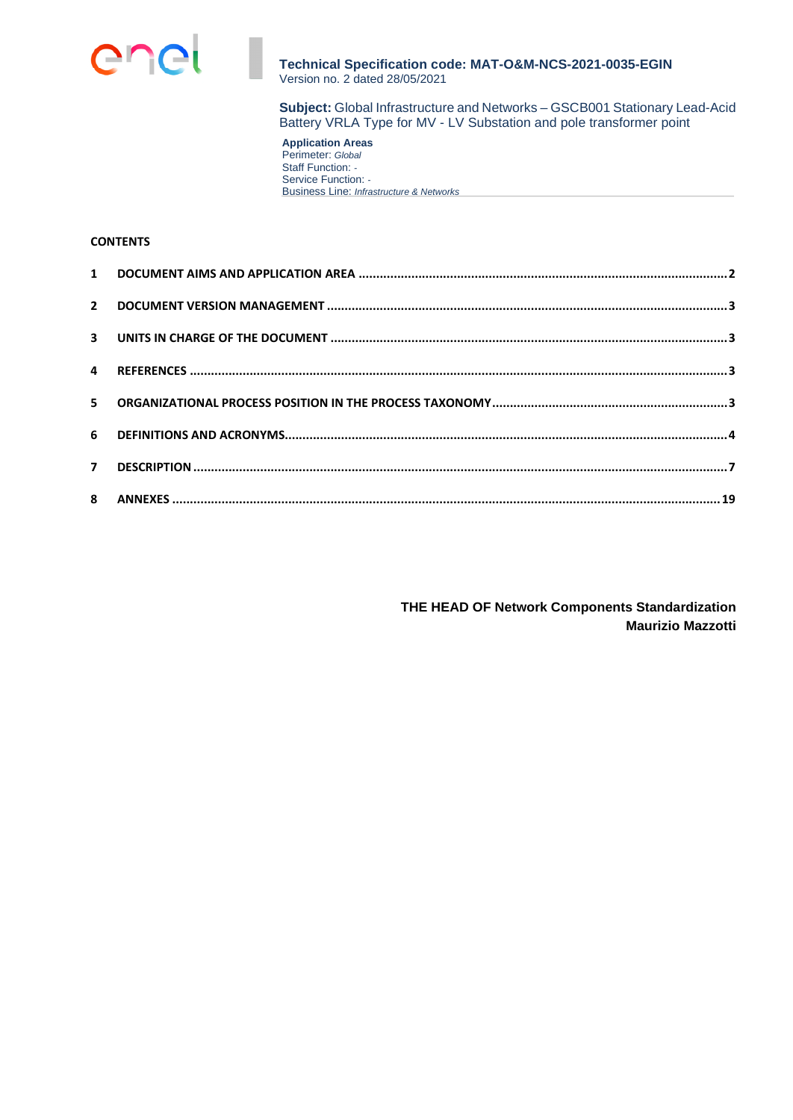

**Subject:** Global Infrastructure and Networks – GSCB001 Stationary Lead-Acid Battery VRLA Type for MV - LV Substation and pole transformer point

**Application Areas**  Perimeter: *Global* Staff Function: *-*  Service Function: *-*  Business Line: *Infrastructure & Networks*

# **CONTENTS**

**THE HEAD OF Network Components Standardization Maurizio Mazzotti**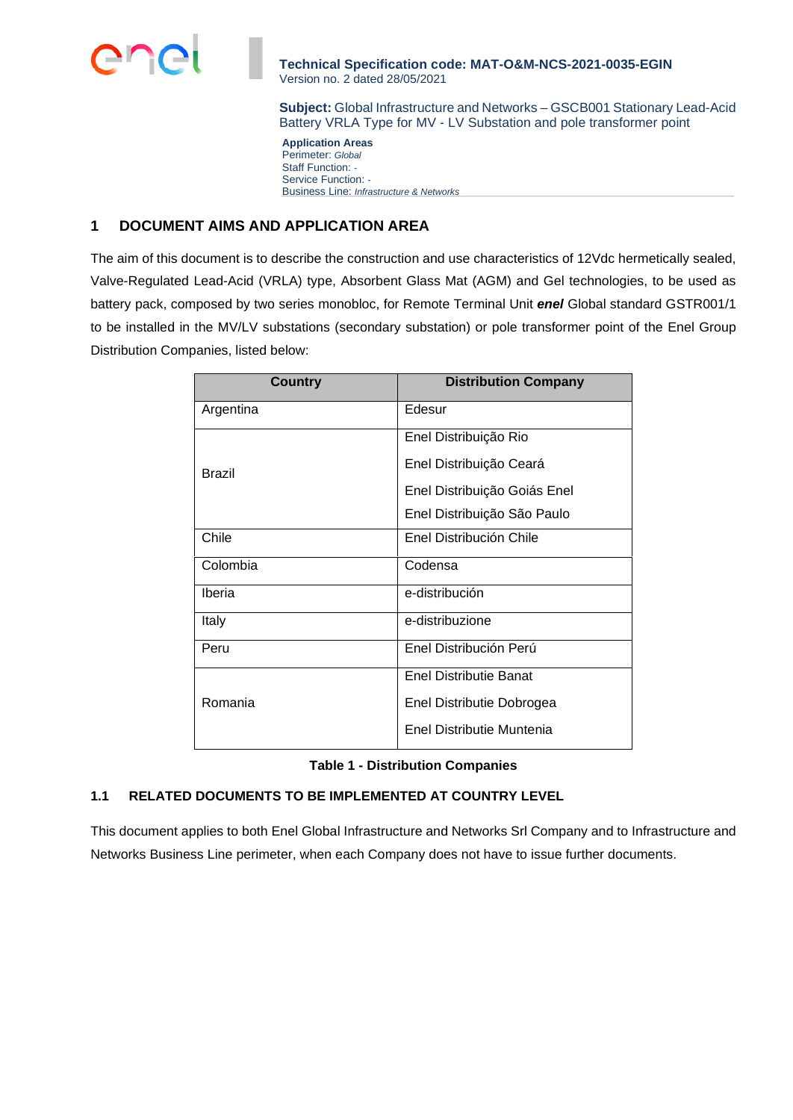

**Subject:** Global Infrastructure and Networks – GSCB001 Stationary Lead-Acid Battery VRLA Type for MV - LV Substation and pole transformer point

**Application Areas**  Perimeter: *Global* Staff Function: *-*  Service Function: *-*  Business Line: *Infrastructure & Networks*

# **1 DOCUMENT AIMS AND APPLICATION AREA**

The aim of this document is to describe the construction and use characteristics of 12Vdc hermetically sealed, Valve-Regulated Lead-Acid (VRLA) type, Absorbent Glass Mat (AGM) and Gel technologies, to be used as battery pack, composed by two series monobloc, for Remote Terminal Unit *enel* Global standard GSTR001/1 to be installed in the MV/LV substations (secondary substation) or pole transformer point of the Enel Group Distribution Companies, listed below:

| <b>Country</b> | <b>Distribution Company</b>   |
|----------------|-------------------------------|
| Argentina      | Edesur                        |
|                | Enel Distribuição Rio         |
| Brazil         | Enel Distribuição Ceará       |
|                | Enel Distribuição Goiás Enel  |
|                | Enel Distribuição São Paulo   |
| Chile          | Enel Distribución Chile       |
| Colombia       | Codensa                       |
| Iberia         | e-distribución                |
| Italy          | e-distribuzione               |
| Peru           | Enel Distribución Perú        |
|                | <b>Enel Distributie Banat</b> |
| Romania        | Enel Distributie Dobrogea     |
|                | Enel Distributie Muntenia     |

|  | <b>Table 1 - Distribution Companies</b> |  |
|--|-----------------------------------------|--|
|--|-----------------------------------------|--|

# **1.1 RELATED DOCUMENTS TO BE IMPLEMENTED AT COUNTRY LEVEL**

This document applies to both Enel Global Infrastructure and Networks Srl Company and to Infrastructure and Networks Business Line perimeter, when each Company does not have to issue further documents.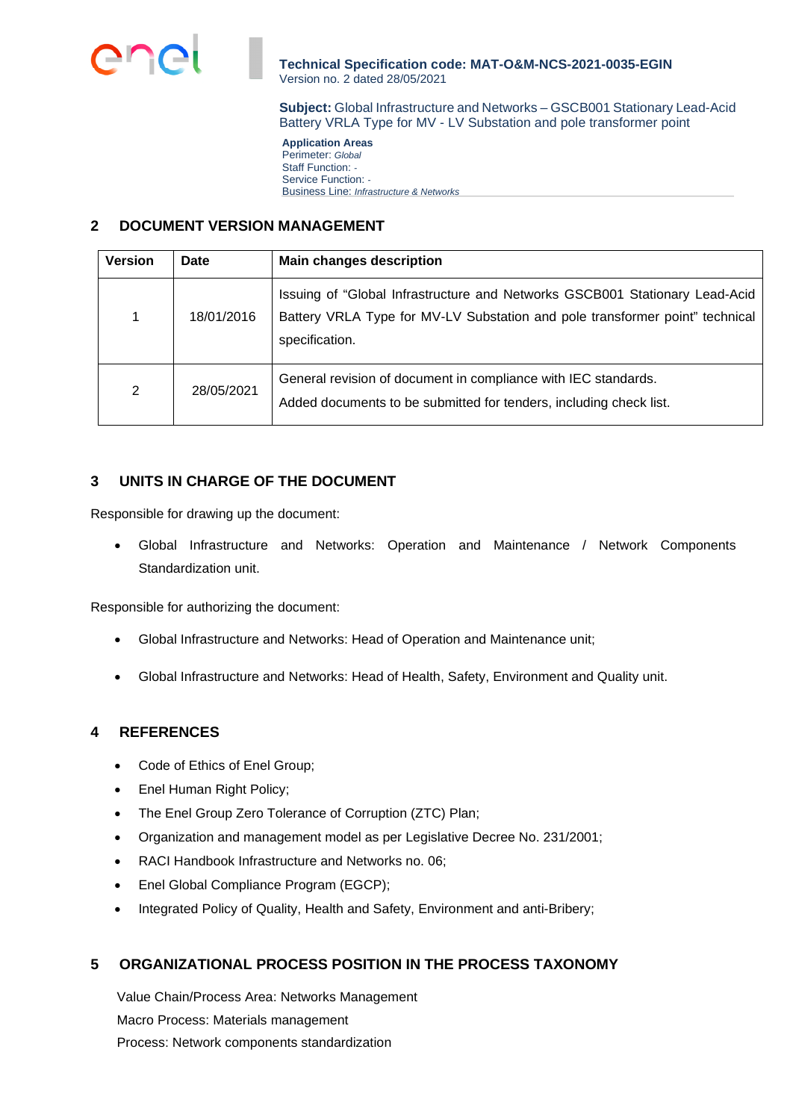

**Subject:** Global Infrastructure and Networks – GSCB001 Stationary Lead-Acid Battery VRLA Type for MV - LV Substation and pole transformer point

**Application Areas**  Perimeter: *Global* Staff Function: *-*  Service Function: *-*  Business Line: *Infrastructure & Networks*

# **2 DOCUMENT VERSION MANAGEMENT**

| <b>Version</b> | <b>Date</b> | <b>Main changes description</b>                                                                                                                                               |
|----------------|-------------|-------------------------------------------------------------------------------------------------------------------------------------------------------------------------------|
| 1              | 18/01/2016  | Issuing of "Global Infrastructure and Networks GSCB001 Stationary Lead-Acid<br>Battery VRLA Type for MV-LV Substation and pole transformer point" technical<br>specification. |
| 2              | 28/05/2021  | General revision of document in compliance with IEC standards.<br>Added documents to be submitted for tenders, including check list.                                          |

# **3 UNITS IN CHARGE OF THE DOCUMENT**

Responsible for drawing up the document:

 Global Infrastructure and Networks: Operation and Maintenance / Network Components Standardization unit.

Responsible for authorizing the document:

- Global Infrastructure and Networks: Head of Operation and Maintenance unit;
- Global Infrastructure and Networks: Head of Health, Safety, Environment and Quality unit.

# **4 REFERENCES**

- Code of Ethics of Enel Group;
- Enel Human Right Policy;
- The Enel Group Zero Tolerance of Corruption (ZTC) Plan;
- Organization and management model as per Legislative Decree No. 231/2001;
- RACI Handbook Infrastructure and Networks no. 06;
- Enel Global Compliance Program (EGCP);
- Integrated Policy of Quality, Health and Safety, Environment and anti-Bribery;

# **5 ORGANIZATIONAL PROCESS POSITION IN THE PROCESS TAXONOMY**

Value Chain/Process Area: Networks Management Macro Process: Materials management Process: Network components standardization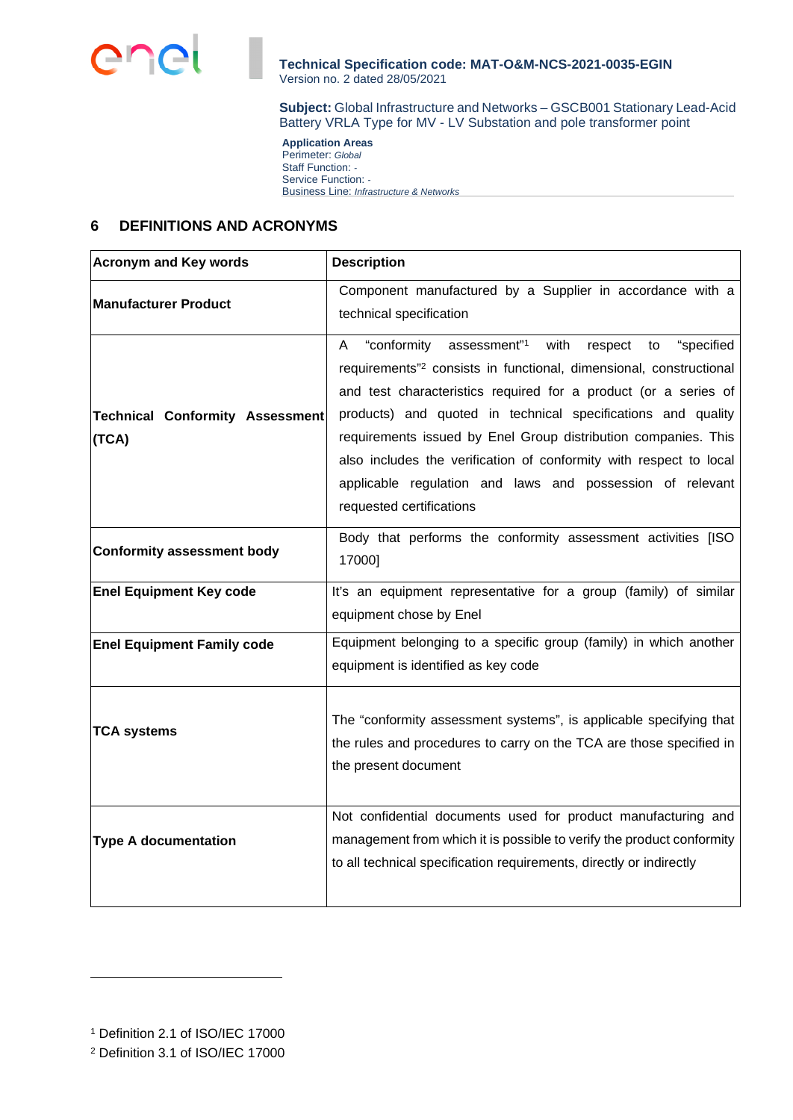

**Subject:** Global Infrastructure and Networks – GSCB001 Stationary Lead-Acid Battery VRLA Type for MV - LV Substation and pole transformer point

**Application Areas**  Perimeter: *Global* Staff Function: *-*  Service Function: *-*  Business Line: *Infrastructure & Networks*

# **6 DEFINITIONS AND ACRONYMS**

| <b>Acronym and Key words</b>                    | <b>Description</b>                                                                                                                                                                                                                                                                                                                                                                                                                                                                                                         |  |
|-------------------------------------------------|----------------------------------------------------------------------------------------------------------------------------------------------------------------------------------------------------------------------------------------------------------------------------------------------------------------------------------------------------------------------------------------------------------------------------------------------------------------------------------------------------------------------------|--|
| <b>Manufacturer Product</b>                     | Component manufactured by a Supplier in accordance with a<br>technical specification                                                                                                                                                                                                                                                                                                                                                                                                                                       |  |
| <b>Technical Conformity Assessment</b><br>(TCA) | "conformity assessment"1<br>with<br>"specified<br>respect<br>A<br>to<br>requirements" <sup>2</sup> consists in functional, dimensional, constructional<br>and test characteristics required for a product (or a series of<br>products) and quoted in technical specifications and quality<br>requirements issued by Enel Group distribution companies. This<br>also includes the verification of conformity with respect to local<br>applicable regulation and laws and possession of relevant<br>requested certifications |  |
| <b>Conformity assessment body</b>               | Body that performs the conformity assessment activities [ISO<br>17000]                                                                                                                                                                                                                                                                                                                                                                                                                                                     |  |
| <b>Enel Equipment Key code</b>                  | It's an equipment representative for a group (family) of similar<br>equipment chose by Enel                                                                                                                                                                                                                                                                                                                                                                                                                                |  |
| <b>Enel Equipment Family code</b>               | Equipment belonging to a specific group (family) in which another<br>equipment is identified as key code                                                                                                                                                                                                                                                                                                                                                                                                                   |  |
| <b>TCA systems</b>                              | The "conformity assessment systems", is applicable specifying that<br>the rules and procedures to carry on the TCA are those specified in<br>the present document                                                                                                                                                                                                                                                                                                                                                          |  |
| <b>Type A documentation</b>                     | Not confidential documents used for product manufacturing and<br>management from which it is possible to verify the product conformity<br>to all technical specification requirements, directly or indirectly                                                                                                                                                                                                                                                                                                              |  |

<sup>1</sup> Definition 2.1 of ISO/IEC 17000

<sup>2</sup> Definition 3.1 of ISO/IEC 17000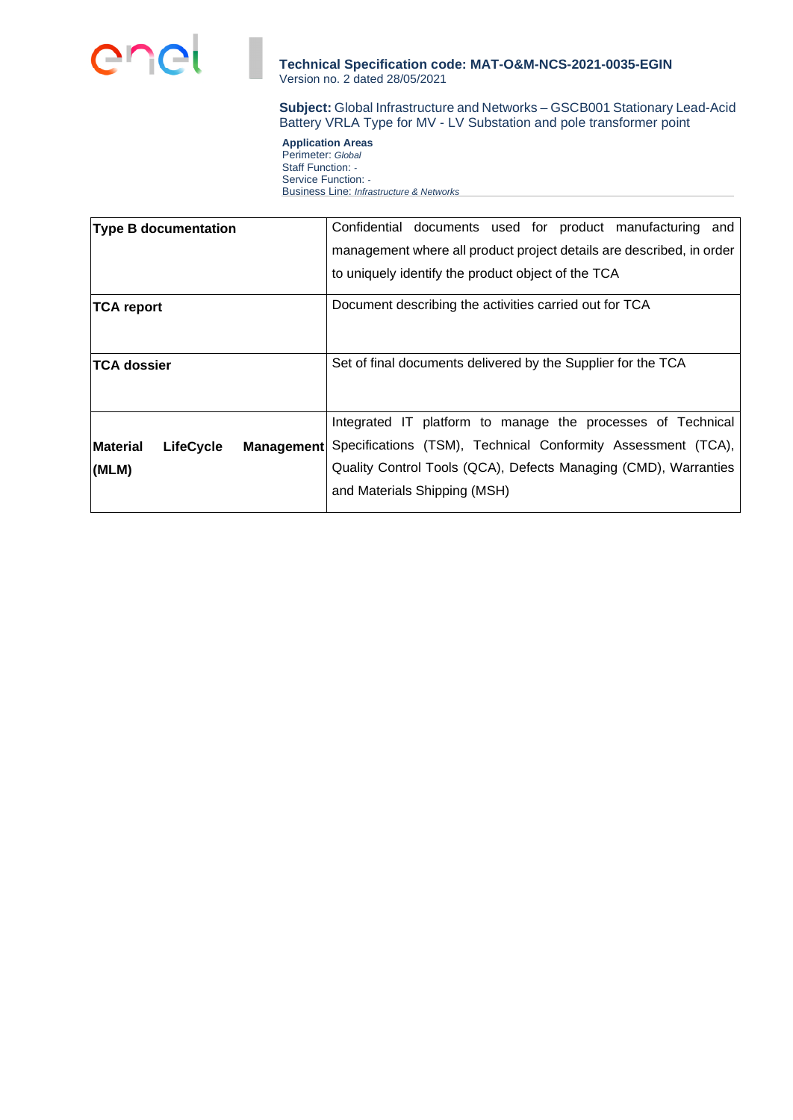

**Subject:** Global Infrastructure and Networks – GSCB001 Stationary Lead-Acid Battery VRLA Type for MV - LV Substation and pole transformer point

**Application Areas**  Perimeter: *Global* Staff Function: *-*  Service Function: *-*  Business Line: *Infrastructure & Networks*

| <b>Type B documentation</b>                              | Confidential documents used for product manufacturing and            |
|----------------------------------------------------------|----------------------------------------------------------------------|
|                                                          | management where all product project details are described, in order |
|                                                          | to uniquely identify the product object of the TCA                   |
| <b>TCA report</b>                                        | Document describing the activities carried out for TCA               |
| <b>TCA dossier</b>                                       | Set of final documents delivered by the Supplier for the TCA         |
|                                                          | Integrated IT platform to manage the processes of Technical          |
| <b>Material</b><br><b>LifeCycle</b><br><b>Management</b> | Specifications (TSM), Technical Conformity Assessment (TCA),         |
| (MLM)                                                    | Quality Control Tools (QCA), Defects Managing (CMD), Warranties      |
|                                                          | and Materials Shipping (MSH)                                         |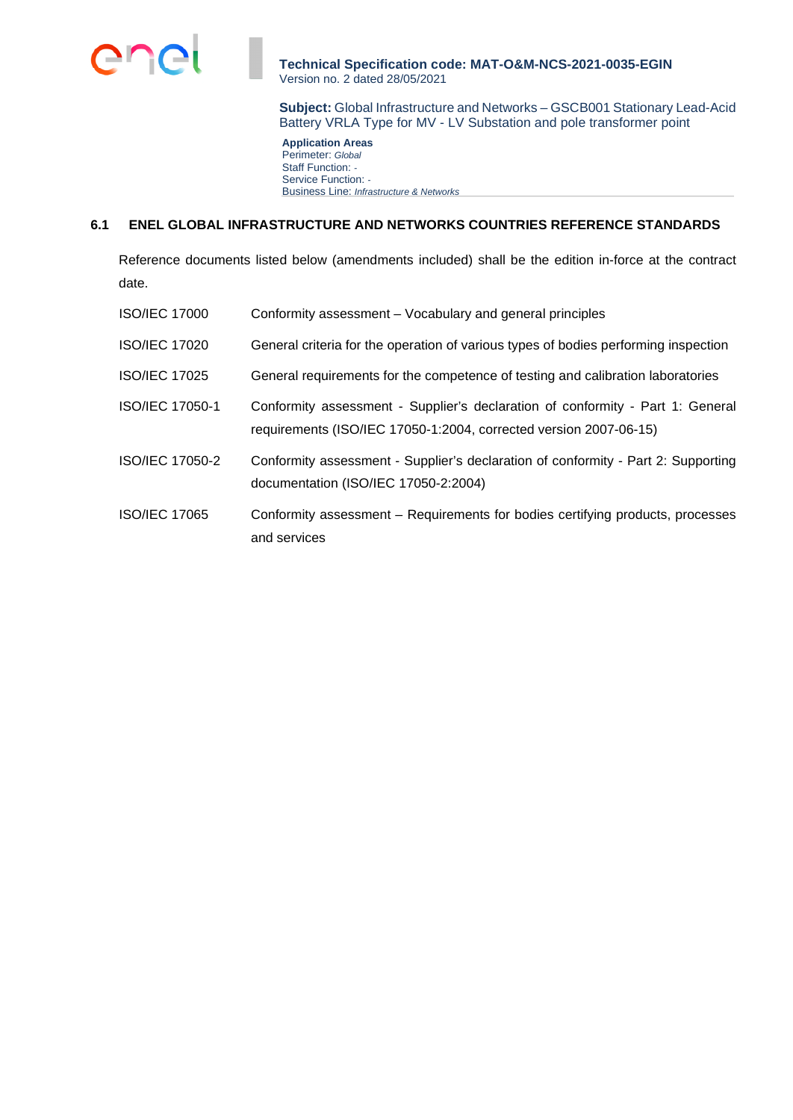

**Subject:** Global Infrastructure and Networks – GSCB001 Stationary Lead-Acid Battery VRLA Type for MV - LV Substation and pole transformer point

**Application Areas**  Perimeter: *Global* Staff Function: *-*  Service Function: *-*  Business Line: *Infrastructure & Networks*

## **6.1 ENEL GLOBAL INFRASTRUCTURE AND NETWORKS COUNTRIES REFERENCE STANDARDS**

Reference documents listed below (amendments included) shall be the edition in-force at the contract date.

| <b>ISO/IEC 17000</b> | Conformity assessment – Vocabulary and general principles                                                                                           |
|----------------------|-----------------------------------------------------------------------------------------------------------------------------------------------------|
| <b>ISO/IEC 17020</b> | General criteria for the operation of various types of bodies performing inspection                                                                 |
| <b>ISO/IEC 17025</b> | General requirements for the competence of testing and calibration laboratories                                                                     |
| ISO/IEC 17050-1      | Conformity assessment - Supplier's declaration of conformity - Part 1: General<br>requirements (ISO/IEC 17050-1:2004, corrected version 2007-06-15) |
| ISO/IEC 17050-2      | Conformity assessment - Supplier's declaration of conformity - Part 2: Supporting<br>documentation (ISO/IEC 17050-2:2004)                           |
| <b>ISO/IEC 17065</b> | Conformity assessment – Requirements for bodies certifying products, processes<br>and services                                                      |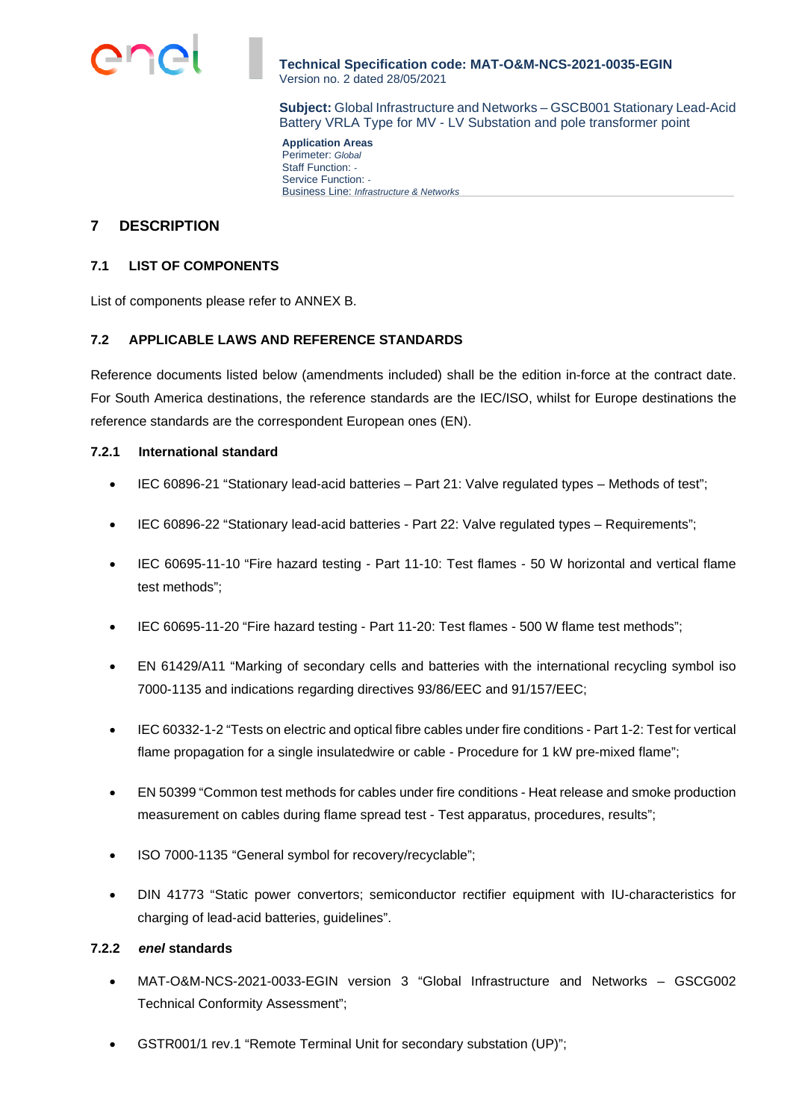

**Subject:** Global Infrastructure and Networks – GSCB001 Stationary Lead-Acid Battery VRLA Type for MV - LV Substation and pole transformer point

**Application Areas**  Perimeter: *Global* Staff Function: *-*  Service Function: *-*  Business Line: *Infrastructure & Networks*

# **7 DESCRIPTION**

## **7.1 LIST OF COMPONENTS**

List of components please refer to ANNEX B.

# **7.2 APPLICABLE LAWS AND REFERENCE STANDARDS**

Reference documents listed below (amendments included) shall be the edition in-force at the contract date. For South America destinations, the reference standards are the IEC/ISO, whilst for Europe destinations the reference standards are the correspondent European ones (EN).

## **7.2.1 International standard**

- IEC 60896-21 "Stationary lead-acid batteries Part 21: Valve regulated types Methods of test";
- IEC 60896-22 "Stationary lead-acid batteries Part 22: Valve regulated types Requirements";
- IEC 60695-11-10 "Fire hazard testing Part 11-10: Test flames 50 W horizontal and vertical flame test methods";
- IEC 60695-11-20 "Fire hazard testing Part 11-20: Test flames 500 W flame test methods";
- EN 61429/A11 "Marking of secondary cells and batteries with the international recycling symbol iso 7000-1135 and indications regarding directives 93/86/EEC and 91/157/EEC;
- IEC 60332-1-2 "Tests on electric and optical fibre cables under fire conditions Part 1-2: Test for vertical flame propagation for a single insulatedwire or cable - Procedure for 1 kW pre-mixed flame";
- EN 50399 "Common test methods for cables under fire conditions Heat release and smoke production measurement on cables during flame spread test - Test apparatus, procedures, results";
- ISO 7000-1135 "General symbol for recovery/recyclable";
- DIN 41773 "Static power convertors; semiconductor rectifier equipment with IU-characteristics for charging of lead-acid batteries, guidelines".

## **7.2.2** *enel* **standards**

- MAT-O&M-NCS-2021-0033-EGIN version 3 "Global Infrastructure and Networks GSCG002 Technical Conformity Assessment";
- GSTR001/1 rev.1 "Remote Terminal Unit for secondary substation (UP)";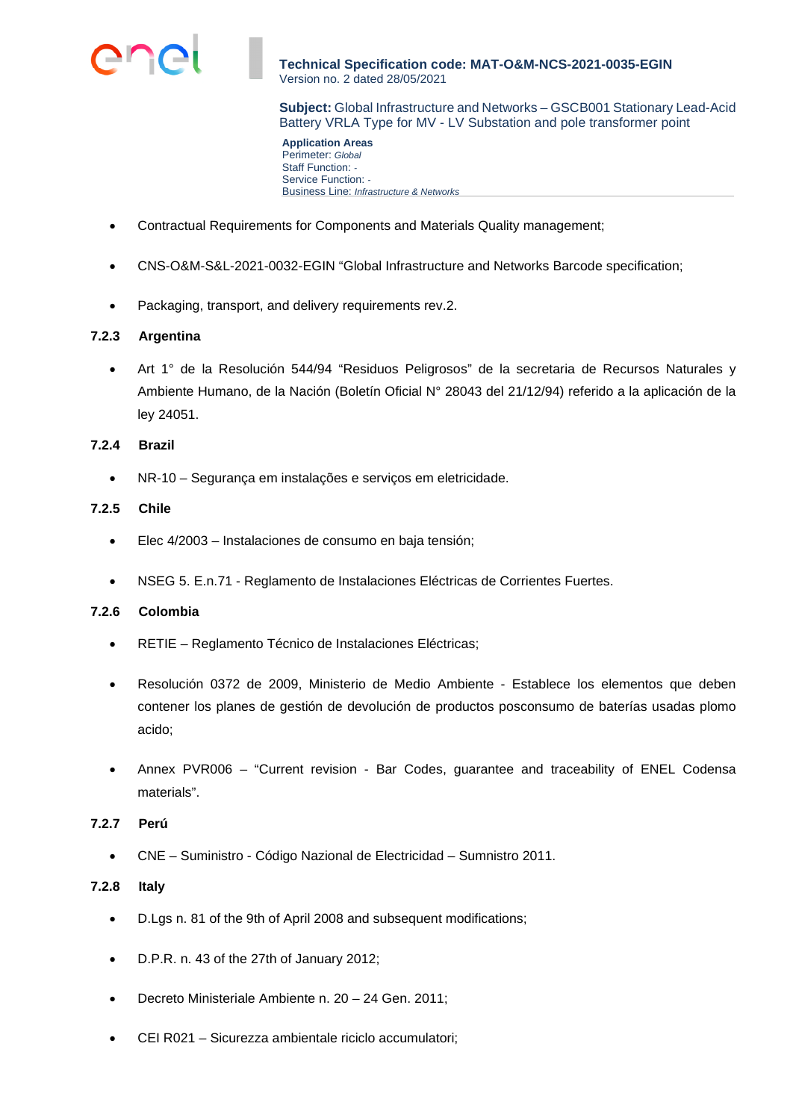

**Subject:** Global Infrastructure and Networks – GSCB001 Stationary Lead-Acid Battery VRLA Type for MV - LV Substation and pole transformer point

**Application Areas**  Perimeter: *Global* Staff Function: *-*  Service Function: *-*  Business Line: *Infrastructure & Networks*

- Contractual Requirements for Components and Materials Quality management;
- CNS-O&M-S&L-2021-0032-EGIN "Global Infrastructure and Networks Barcode specification;
- Packaging, transport, and delivery requirements rev.2.

## **7.2.3 Argentina**

 Art 1° de la Resolución 544/94 "Residuos Peligrosos" de la secretaria de Recursos Naturales y Ambiente Humano, de la Nación (Boletín Oficial N° 28043 del 21/12/94) referido a la aplicación de la ley 24051.

## **7.2.4 Brazil**

NR-10 – Segurança em instalações e serviços em eletricidade.

## **7.2.5 Chile**

- Elec 4/2003 Instalaciones de consumo en baja tensión;
- NSEG 5. E.n.71 Reglamento de Instalaciones Eléctricas de Corrientes Fuertes.

## **7.2.6 Colombia**

- RETIE Reglamento Técnico de Instalaciones Eléctricas;
- Resolución 0372 de 2009, Ministerio de Medio Ambiente Establece los elementos que deben contener los planes de gestión de devolución de productos posconsumo de baterías usadas plomo acido;
- Annex PVR006 "Current revision Bar Codes, guarantee and traceability of ENEL Codensa materials".

#### **7.2.7 Perú**

CNE – Suministro - Código Nazional de Electricidad – Sumnistro 2011.

#### **7.2.8 Italy**

- D.Lgs n. 81 of the 9th of April 2008 and subsequent modifications;
- D.P.R. n. 43 of the 27th of January 2012;
- Decreto Ministeriale Ambiente n. 20 24 Gen. 2011;
- CEI R021 Sicurezza ambientale riciclo accumulatori;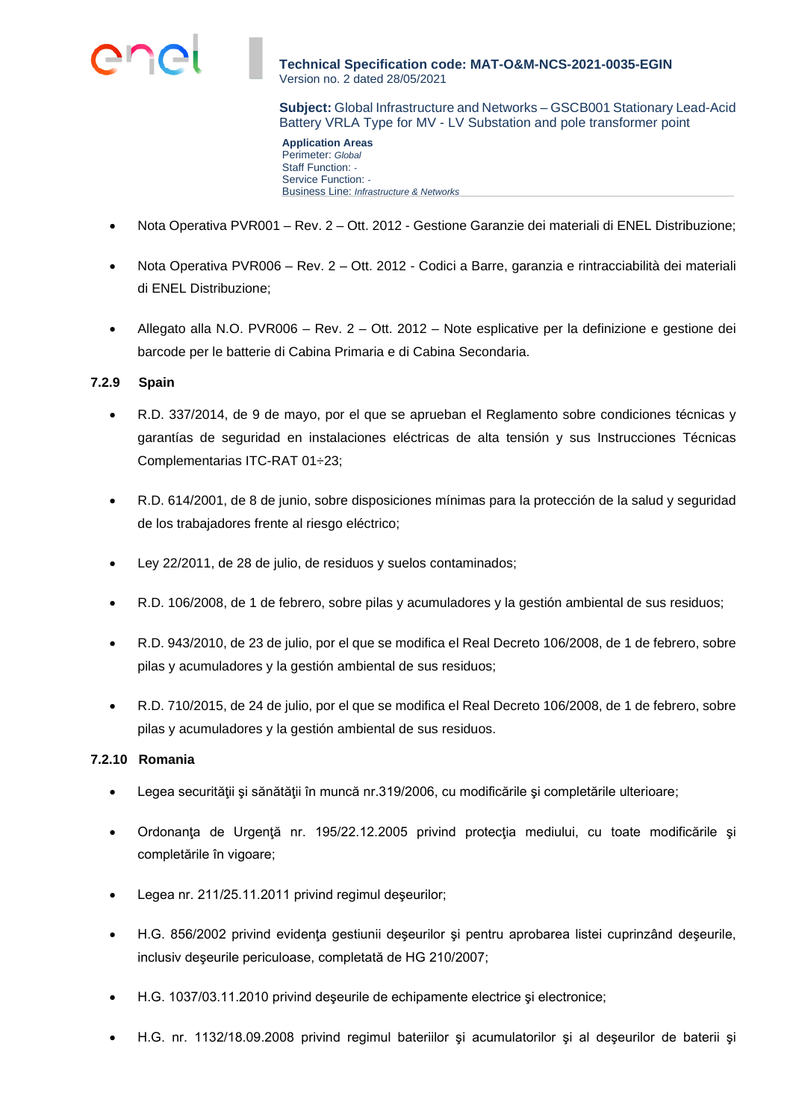

**Subject:** Global Infrastructure and Networks – GSCB001 Stationary Lead-Acid Battery VRLA Type for MV - LV Substation and pole transformer point

**Application Areas**  Perimeter: *Global* Staff Function: *-*  Service Function: *-*  Business Line: *Infrastructure & Networks*

- Nota Operativa PVR001 Rev. 2 Ott. 2012 Gestione Garanzie dei materiali di ENEL Distribuzione;
- Nota Operativa PVR006 Rev. 2 Ott. 2012 Codici a Barre, garanzia e rintracciabilità dei materiali di ENEL Distribuzione;
- Allegato alla N.O. PVR006 Rev. 2 Ott. 2012 Note esplicative per la definizione e gestione dei barcode per le batterie di Cabina Primaria e di Cabina Secondaria.

## **7.2.9 Spain**

- R.D. 337/2014, de 9 de mayo, por el que se aprueban el Reglamento sobre condiciones técnicas y garantías de seguridad en instalaciones eléctricas de alta tensión y sus Instrucciones Técnicas Complementarias ITC-RAT 01÷23;
- R.D. 614/2001, de 8 de junio, sobre disposiciones mínimas para la protección de la salud y seguridad de los trabajadores frente al riesgo eléctrico;
- Ley 22/2011, de 28 de julio, de residuos y suelos contaminados;
- R.D. 106/2008, de 1 de febrero, sobre pilas y acumuladores y la gestión ambiental de sus residuos;
- R.D. 943/2010, de 23 de julio, por el que se modifica el Real Decreto 106/2008, de 1 de febrero, sobre pilas y acumuladores y la gestión ambiental de sus residuos;
- R.D. 710/2015, de 24 de julio, por el que se modifica el Real Decreto 106/2008, de 1 de febrero, sobre pilas y acumuladores y la gestión ambiental de sus residuos.

# **7.2.10 Romania**

- Legea securităţii şi sănătăţii în muncă nr.319/2006, cu modificările şi completările ulterioare;
- Ordonanţa de Urgenţă nr. 195/22.12.2005 privind protecţia mediului, cu toate modificările şi completările în vigoare;
- Legea nr. 211/25.11.2011 privind regimul deşeurilor;
- H.G. 856/2002 privind evidenţa gestiunii deşeurilor şi pentru aprobarea listei cuprinzând deşeurile, inclusiv deşeurile periculoase, completată de HG 210/2007;
- H.G. 1037/03.11.2010 privind deşeurile de echipamente electrice şi electronice;
- H.G. nr. 1132/18.09.2008 privind regimul bateriilor şi acumulatorilor şi al deşeurilor de baterii şi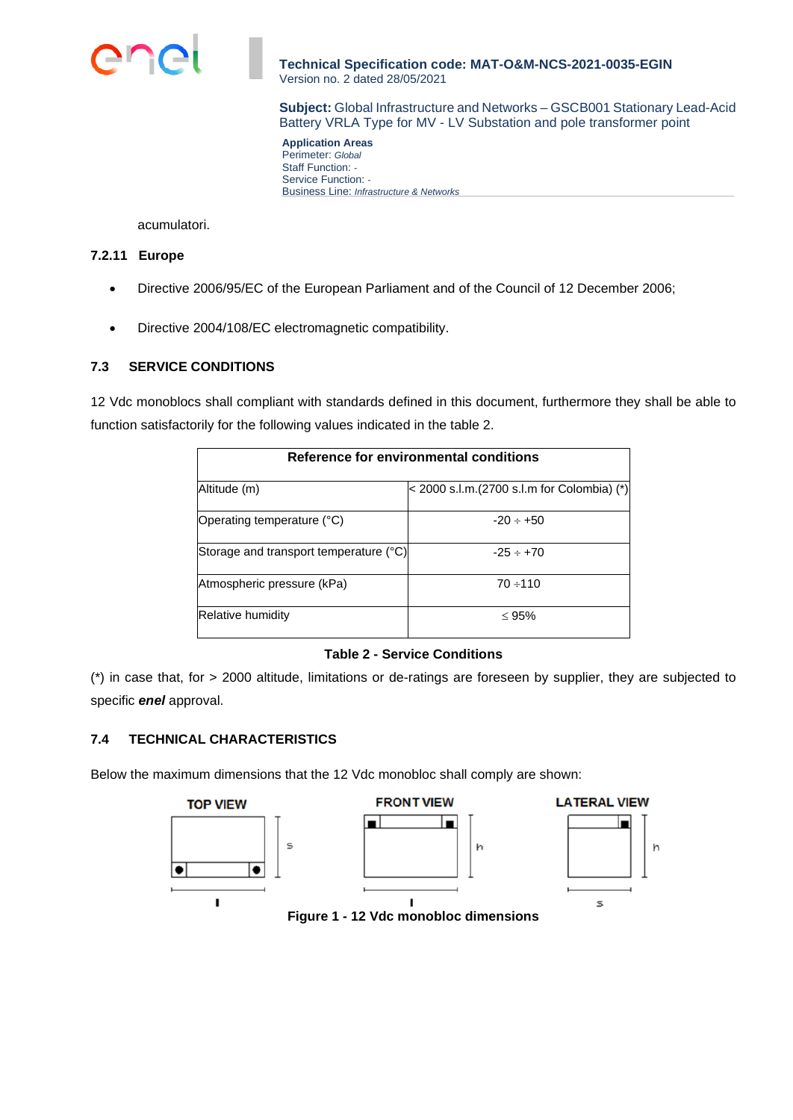

**Subject:** Global Infrastructure and Networks – GSCB001 Stationary Lead-Acid Battery VRLA Type for MV - LV Substation and pole transformer point

**Application Areas**  Perimeter: *Global* Staff Function: *-*  Service Function: *-*  Business Line: *Infrastructure & Networks*

acumulatori.

# **7.2.11 Europe**

- Directive 2006/95/EC of the European Parliament and of the Council of 12 December 2006;
- Directive 2004/108/EC electromagnetic compatibility.

# **7.3 SERVICE CONDITIONS**

12 Vdc monoblocs shall compliant with standards defined in this document, furthermore they shall be able to function satisfactorily for the following values indicated in the table 2.

| Reference for environmental conditions |                                             |  |
|----------------------------------------|---------------------------------------------|--|
| Altitude (m)                           | < 2000 s.l.m. (2700 s.l.m for Colombia) (*) |  |
| Operating temperature (°C)             | $-20 \div +50$                              |  |
| Storage and transport temperature (°C) | $-25 \div +70$                              |  |
| Atmospheric pressure (kPa)             | $70 \div 110$                               |  |
| Relative humidity                      | $\leq 95\%$                                 |  |

# **Table 2 - Service Conditions**

(\*) in case that, for > 2000 altitude, limitations or de-ratings are foreseen by supplier, they are subjected to specific *enel* approval.

# **7.4 TECHNICAL CHARACTERISTICS**

Below the maximum dimensions that the 12 Vdc monobloc shall comply are shown:



**Figure 1 - 12 Vdc monobloc dimensions**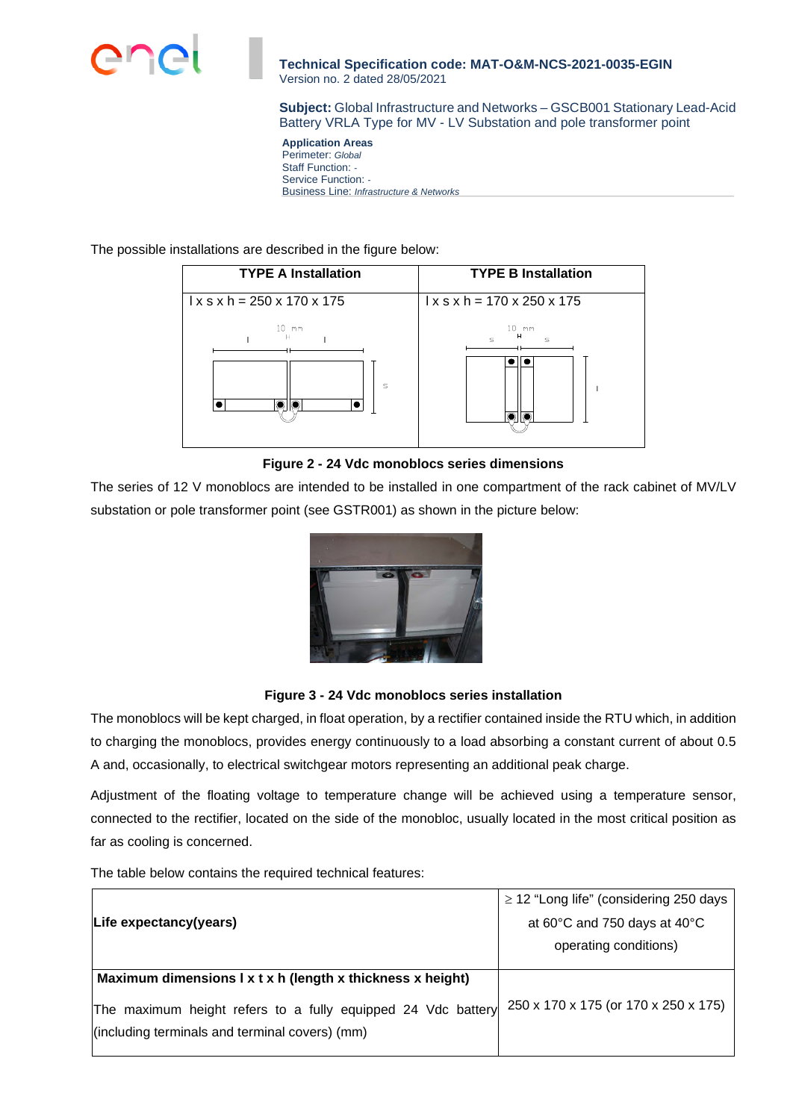

**Subject:** Global Infrastructure and Networks – GSCB001 Stationary Lead-Acid Battery VRLA Type for MV - LV Substation and pole transformer point

**Application Areas**  Perimeter: *Global* Staff Function: *-*  Service Function: *-*  Business Line: *Infrastructure & Networks*

The possible installations are described in the figure below:



**Figure 2 - 24 Vdc monoblocs series dimensions** 

The series of 12 V monoblocs are intended to be installed in one compartment of the rack cabinet of MV/LV substation or pole transformer point (see GSTR001) as shown in the picture below:



# **Figure 3 - 24 Vdc monoblocs series installation**

The monoblocs will be kept charged, in float operation, by a rectifier contained inside the RTU which, in addition to charging the monoblocs, provides energy continuously to a load absorbing a constant current of about 0.5 A and, occasionally, to electrical switchgear motors representing an additional peak charge.

Adjustment of the floating voltage to temperature change will be achieved using a temperature sensor, connected to the rectifier, located on the side of the monobloc, usually located in the most critical position as far as cooling is concerned.

The table below contains the required technical features:

|                                                              | $\geq$ 12 "Long life" (considering 250 days |
|--------------------------------------------------------------|---------------------------------------------|
| Life expectancy(years)                                       | at 60°C and 750 days at 40°C                |
|                                                              | operating conditions)                       |
| Maximum dimensions I x t x h (length x thickness x height)   |                                             |
| The maximum height refers to a fully equipped 24 Vdc battery | 250 x 170 x 175 (or 170 x 250 x 175)        |
| (including terminals and terminal covers) (mm)               |                                             |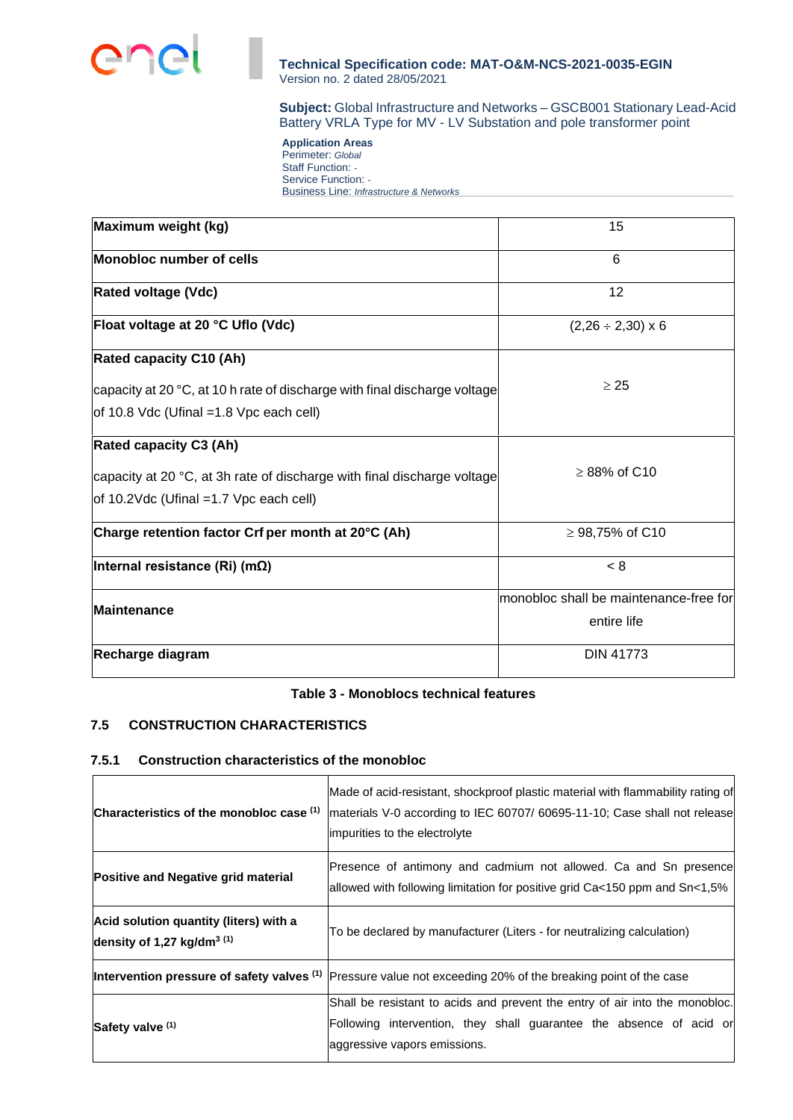

**Subject:** Global Infrastructure and Networks – GSCB001 Stationary Lead-Acid Battery VRLA Type for MV - LV Substation and pole transformer point

**Application Areas**  Perimeter: *Global* Staff Function: *-*  Service Function: *-*  Business Line: *Infrastructure & Networks*

| Maximum weight (kg)                                                       | 15                                     |
|---------------------------------------------------------------------------|----------------------------------------|
| Monobloc number of cells                                                  | 6                                      |
| <b>Rated voltage (Vdc)</b>                                                | 12                                     |
| Float voltage at 20 °C Uflo (Vdc)                                         | $(2,26 \div 2,30) \times 6$            |
| <b>Rated capacity C10 (Ah)</b>                                            |                                        |
| capacity at 20 °C, at 10 h rate of discharge with final discharge voltage | $\geq 25$                              |
| of 10.8 Vdc (Ufinal = 1.8 Vpc each cell)                                  |                                        |
| <b>Rated capacity C3 (Ah)</b>                                             |                                        |
| capacity at 20 °C, at 3h rate of discharge with final discharge voltage   | $\geq$ 88% of C10                      |
| of 10.2Vdc (Ufinal = 1.7 Vpc each cell)                                   |                                        |
| Charge retention factor Crf per month at 20°C (Ah)                        | ≥ 98,75% of C10                        |
| Internal resistance (Ri) (m $\Omega$ )                                    | < 8                                    |
| Maintenance                                                               | monobloc shall be maintenance-free for |
|                                                                           | entire life                            |
| Recharge diagram                                                          | <b>DIN 41773</b>                       |
|                                                                           |                                        |

#### **Table 3 - Monoblocs technical features**

# **7.5 CONSTRUCTION CHARACTERISTICS**

## **7.5.1 Construction characteristics of the monobloc**

| Characteristics of the monobloc case (1)                                         | Made of acid-resistant, shockproof plastic material with flammability rating of<br>materials V-0 according to IEC 60707/ 60695-11-10; Case shall not release<br>impurities to the electrolyte |
|----------------------------------------------------------------------------------|-----------------------------------------------------------------------------------------------------------------------------------------------------------------------------------------------|
| Positive and Negative grid material                                              | Presence of antimony and cadmium not allowed. Ca and Sn presence<br>allowed with following limitation for positive grid Ca<150 ppm and $Sn<1,5%$                                              |
| Acid solution quantity (liters) with a<br>density of 1,27 kg/dm <sup>3 (1)</sup> | To be declared by manufacturer (Liters - for neutralizing calculation)                                                                                                                        |
|                                                                                  | Intervention pressure of safety valves <sup>(1)</sup> Pressure value not exceeding 20% of the breaking point of the case                                                                      |
| Safety valve (1)                                                                 | Shall be resistant to acids and prevent the entry of air into the monobloc.<br>Following intervention, they shall guarantee the absence of acid or<br>aggressive vapors emissions.            |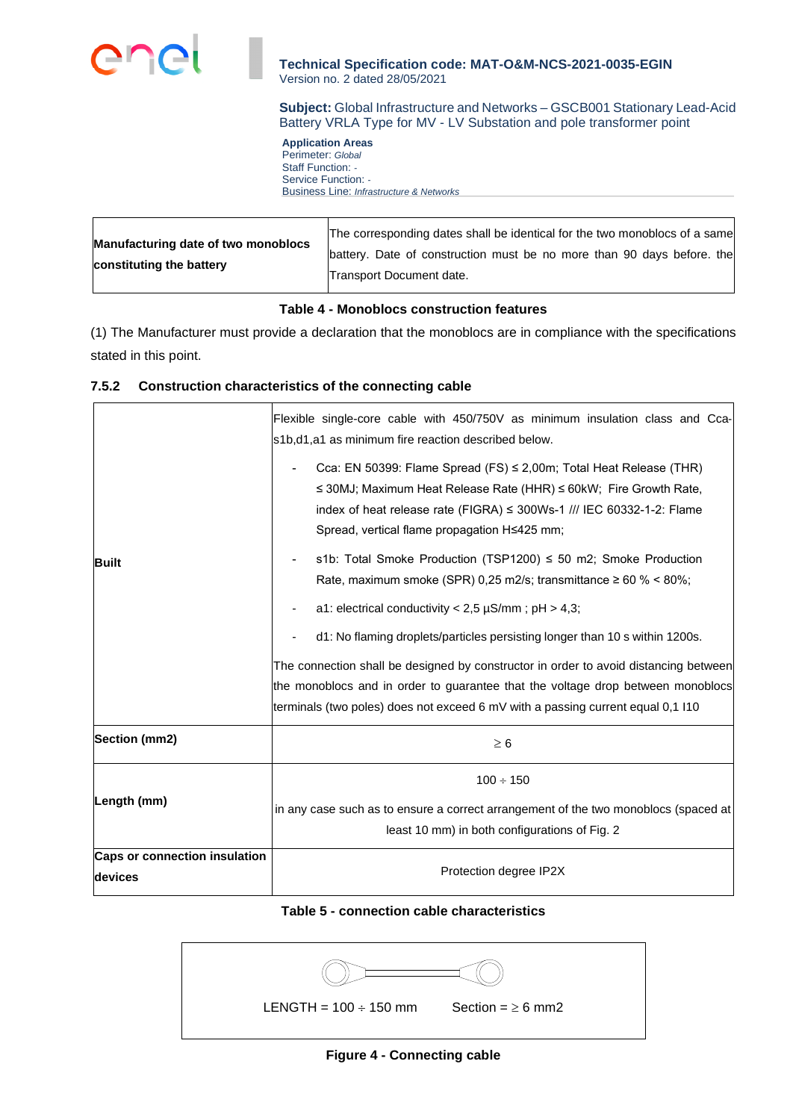

**Subject:** Global Infrastructure and Networks – GSCB001 Stationary Lead-Acid Battery VRLA Type for MV - LV Substation and pole transformer point

**Application Areas**  Perimeter: *Global* Staff Function: *-*  Service Function: *-*  Business Line: *Infrastructure & Networks*

| Manufacturing date of two monoblocs<br>constituting the battery | The corresponding dates shall be identical for the two monoblocs of a same<br>battery. Date of construction must be no more than 90 days before, the<br>Transport Document date. |
|-----------------------------------------------------------------|----------------------------------------------------------------------------------------------------------------------------------------------------------------------------------|

# **Table 4 - Monoblocs construction features**

(1) The Manufacturer must provide a declaration that the monoblocs are in compliance with the specifications stated in this point.

## **7.5.2 Construction characteristics of the connecting cable**

|                               | Flexible single-core cable with 450/750V as minimum insulation class and Cca-<br>s1b,d1,a1 as minimum fire reaction described below.                                                                                                                                            |  |  |  |  |  |
|-------------------------------|---------------------------------------------------------------------------------------------------------------------------------------------------------------------------------------------------------------------------------------------------------------------------------|--|--|--|--|--|
|                               | Cca: EN 50399: Flame Spread (FS) ≤ 2,00m; Total Heat Release (THR)<br>$\leq$ 30MJ; Maximum Heat Release Rate (HHR) $\leq$ 60kW; Fire Growth Rate,<br>index of heat release rate (FIGRA) $\leq$ 300Ws-1 /// IEC 60332-1-2: Flame<br>Spread, vertical flame propagation H≤425 mm; |  |  |  |  |  |
| <b>Built</b>                  | s1b: Total Smoke Production (TSP1200) ≤ 50 m2; Smoke Production<br>Rate, maximum smoke (SPR) 0,25 m2/s; transmittance $\geq 60$ % < 80%;                                                                                                                                        |  |  |  |  |  |
|                               | a1: electrical conductivity < $2,5 \mu S/mm$ ; pH > 4,3;                                                                                                                                                                                                                        |  |  |  |  |  |
|                               | d1: No flaming droplets/particles persisting longer than 10 s within 1200s.                                                                                                                                                                                                     |  |  |  |  |  |
|                               | The connection shall be designed by constructor in order to avoid distancing between                                                                                                                                                                                            |  |  |  |  |  |
|                               | the monoblocs and in order to guarantee that the voltage drop between monoblocs                                                                                                                                                                                                 |  |  |  |  |  |
|                               | terminals (two poles) does not exceed 6 mV with a passing current equal 0,1 l10                                                                                                                                                                                                 |  |  |  |  |  |
| Section (mm2)                 | $\geq 6$                                                                                                                                                                                                                                                                        |  |  |  |  |  |
|                               | $100 \div 150$                                                                                                                                                                                                                                                                  |  |  |  |  |  |
| Length (mm)                   | in any case such as to ensure a correct arrangement of the two monoblocs (spaced at<br>least 10 mm) in both configurations of Fig. 2                                                                                                                                            |  |  |  |  |  |
| Caps or connection insulation |                                                                                                                                                                                                                                                                                 |  |  |  |  |  |
| devices                       | Protection degree IP2X                                                                                                                                                                                                                                                          |  |  |  |  |  |

## **Table 5 - connection cable characteristics**

| LENGTH = $100 \div 150$ mm | Section = $\geq 6$ mm2 |
|----------------------------|------------------------|

**Figure 4 - Connecting cable**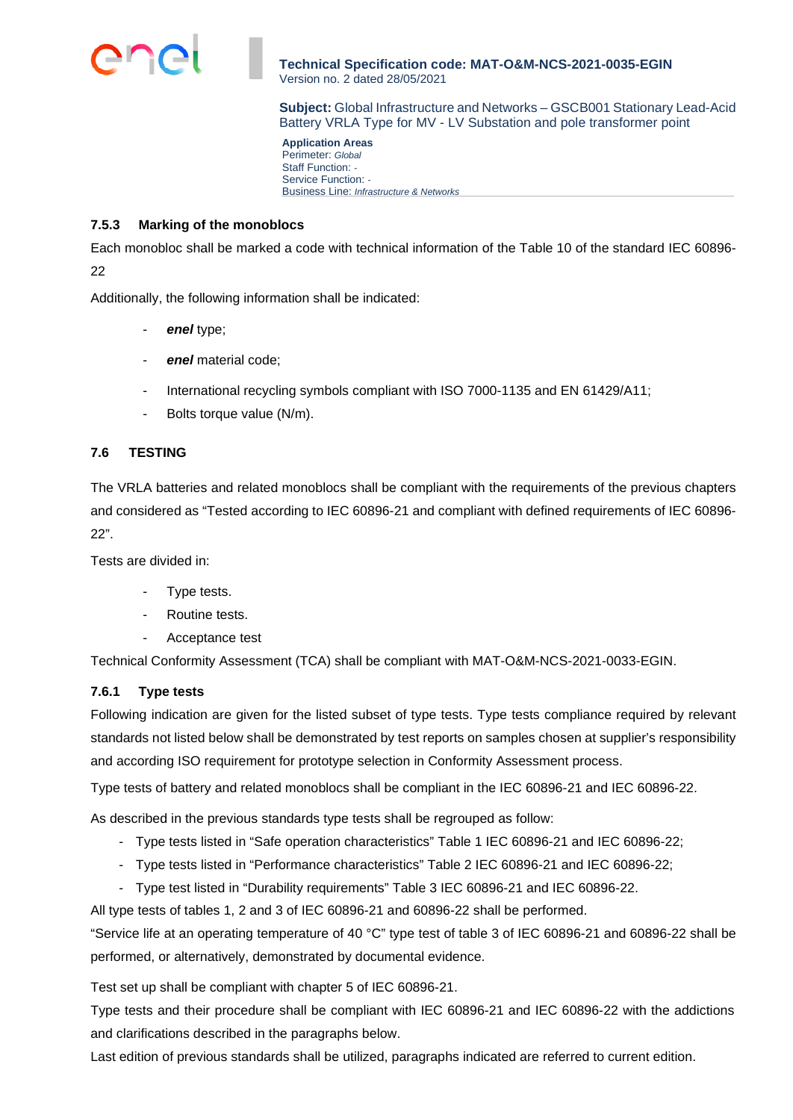

**Subject:** Global Infrastructure and Networks – GSCB001 Stationary Lead-Acid Battery VRLA Type for MV - LV Substation and pole transformer point

**Application Areas**  Perimeter: *Global* Staff Function: *-*  Service Function: *-*  Business Line: *Infrastructure & Networks*

## **7.5.3 Marking of the monoblocs**

Each monobloc shall be marked a code with technical information of the Table 10 of the standard IEC 60896- 22

Additionally, the following information shall be indicated:

- enel type:
- *enel* material code;
- International recycling symbols compliant with ISO 7000-1135 and EN 61429/A11;
- Bolts torque value (N/m).

## **7.6 TESTING**

The VRLA batteries and related monoblocs shall be compliant with the requirements of the previous chapters and considered as "Tested according to IEC 60896-21 and compliant with defined requirements of IEC 60896- 22".

Tests are divided in:

- Type tests.
- Routine tests.
- Acceptance test

Technical Conformity Assessment (TCA) shall be compliant with MAT-O&M-NCS-2021-0033-EGIN.

#### **7.6.1 Type tests**

Following indication are given for the listed subset of type tests. Type tests compliance required by relevant standards not listed below shall be demonstrated by test reports on samples chosen at supplier's responsibility and according ISO requirement for prototype selection in Conformity Assessment process.

Type tests of battery and related monoblocs shall be compliant in the IEC 60896-21 and IEC 60896-22.

As described in the previous standards type tests shall be regrouped as follow:

- Type tests listed in "Safe operation characteristics" Table 1 IEC 60896-21 and IEC 60896-22;
- Type tests listed in "Performance characteristics" Table 2 IEC 60896-21 and IEC 60896-22;
- Type test listed in "Durability requirements" Table 3 IEC 60896-21 and IEC 60896-22.

All type tests of tables 1, 2 and 3 of IEC 60896-21 and 60896-22 shall be performed.

"Service life at an operating temperature of 40 °C" type test of table 3 of IEC 60896-21 and 60896-22 shall be performed, or alternatively, demonstrated by documental evidence.

Test set up shall be compliant with chapter 5 of IEC 60896-21.

Type tests and their procedure shall be compliant with IEC 60896-21 and IEC 60896-22 with the addictions and clarifications described in the paragraphs below.

Last edition of previous standards shall be utilized, paragraphs indicated are referred to current edition.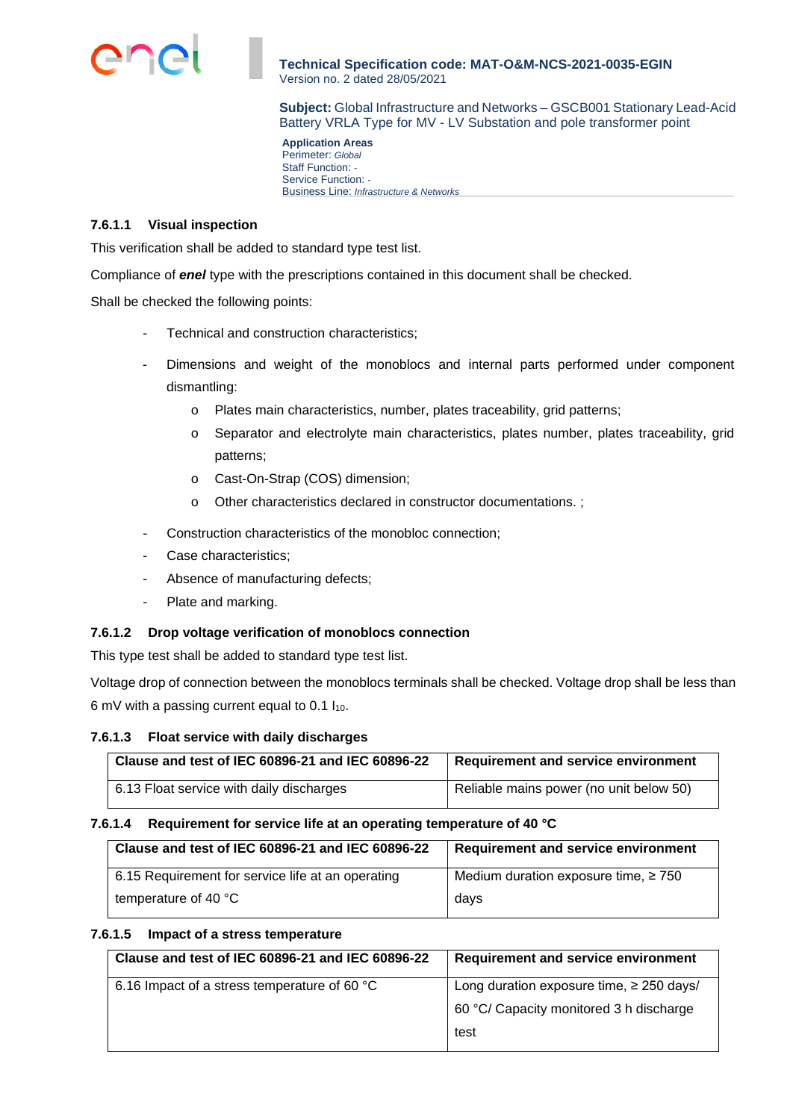

**Subject:** Global Infrastructure and Networks – GSCB001 Stationary Lead-Acid Battery VRLA Type for MV - LV Substation and pole transformer point

**Application Areas**  Perimeter: *Global* Staff Function: *-*  Service Function: *-*  Business Line: *Infrastructure & Networks*

## **7.6.1.1 Visual inspection**

This verification shall be added to standard type test list.

Compliance of *enel* type with the prescriptions contained in this document shall be checked.

Shall be checked the following points:

- Technical and construction characteristics:
- Dimensions and weight of the monoblocs and internal parts performed under component dismantling:
	- o Plates main characteristics, number, plates traceability, grid patterns;
	- o Separator and electrolyte main characteristics, plates number, plates traceability, grid patterns;
	- o Cast-On-Strap (COS) dimension;
	- o Other characteristics declared in constructor documentations. ;
- Construction characteristics of the monobloc connection;
- Case characteristics;
- Absence of manufacturing defects;
- Plate and marking.

#### **7.6.1.2 Drop voltage verification of monoblocs connection**

This type test shall be added to standard type test list.

Voltage drop of connection between the monoblocs terminals shall be checked. Voltage drop shall be less than 6 mV with a passing current equal to 0.1  $I_{10}$ .

#### **7.6.1.3 Float service with daily discharges**

| Clause and test of IEC 60896-21 and IEC 60896-22 | Requirement and service environment     |
|--------------------------------------------------|-----------------------------------------|
| 6.13 Float service with daily discharges         | Reliable mains power (no unit below 50) |

#### **7.6.1.4 Requirement for service life at an operating temperature of 40 °C**

| Clause and test of IEC 60896-21 and IEC 60896-22  | <b>Requirement and service environment</b> |  |  |  |
|---------------------------------------------------|--------------------------------------------|--|--|--|
| 6.15 Requirement for service life at an operating | Medium duration exposure time, $\geq 750$  |  |  |  |
| temperature of 40 $\degree$ C                     | days                                       |  |  |  |

### **7.6.1.5 Impact of a stress temperature**

| Clause and test of IEC 60896-21 and IEC 60896-22 | <b>Requirement and service environment</b>    |  |  |  |
|--------------------------------------------------|-----------------------------------------------|--|--|--|
| 6.16 Impact of a stress temperature of 60 °C     | Long duration exposure time, $\geq$ 250 days/ |  |  |  |
|                                                  | 60 °C/ Capacity monitored 3 h discharge       |  |  |  |
|                                                  | test                                          |  |  |  |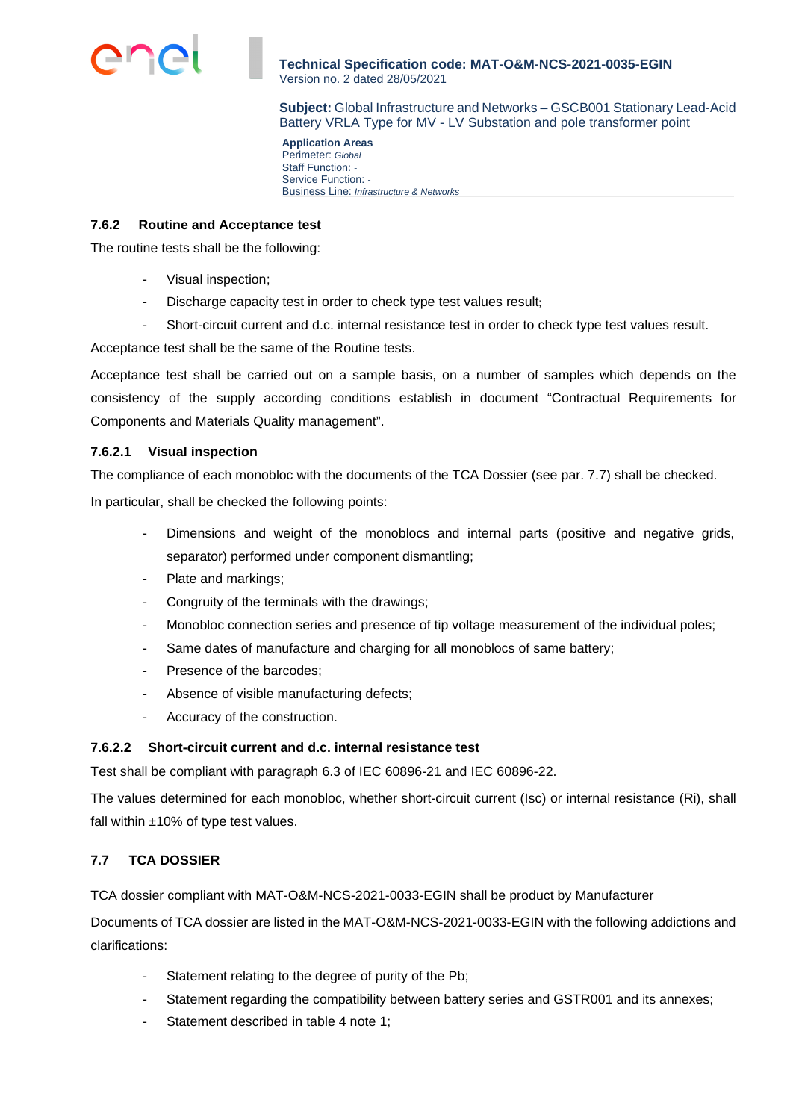

**Subject:** Global Infrastructure and Networks – GSCB001 Stationary Lead-Acid Battery VRLA Type for MV - LV Substation and pole transformer point

**Application Areas**  Perimeter: *Global* Staff Function: *-*  Service Function: *-*  Business Line: *Infrastructure & Networks*

### **7.6.2 Routine and Acceptance test**

The routine tests shall be the following:

- Visual inspection;
- Discharge capacity test in order to check type test values result;
- Short-circuit current and d.c. internal resistance test in order to check type test values result.

Acceptance test shall be the same of the Routine tests.

Acceptance test shall be carried out on a sample basis, on a number of samples which depends on the consistency of the supply according conditions establish in document "Contractual Requirements for Components and Materials Quality management".

# **7.6.2.1 Visual inspection**

The compliance of each monobloc with the documents of the TCA Dossier (see par. 7.7) shall be checked.

In particular, shall be checked the following points:

- Dimensions and weight of the monoblocs and internal parts (positive and negative grids, separator) performed under component dismantling;
- Plate and markings;
- Congruity of the terminals with the drawings;
- Monobloc connection series and presence of tip voltage measurement of the individual poles;
- Same dates of manufacture and charging for all monoblocs of same battery;
- Presence of the barcodes;
- Absence of visible manufacturing defects;
- Accuracy of the construction.

#### **7.6.2.2 Short-circuit current and d.c. internal resistance test**

Test shall be compliant with paragraph 6.3 of IEC 60896-21 and IEC 60896-22.

The values determined for each monobloc, whether short-circuit current (Isc) or internal resistance (Ri), shall fall within  $±10\%$  of type test values.

# **7.7 TCA DOSSIER**

TCA dossier compliant with MAT-O&M-NCS-2021-0033-EGIN shall be product by Manufacturer

Documents of TCA dossier are listed in the MAT-O&M-NCS-2021-0033-EGIN with the following addictions and clarifications:

- Statement relating to the degree of purity of the Pb;
- Statement regarding the compatibility between battery series and GSTR001 and its annexes;
- Statement described in table 4 note 1;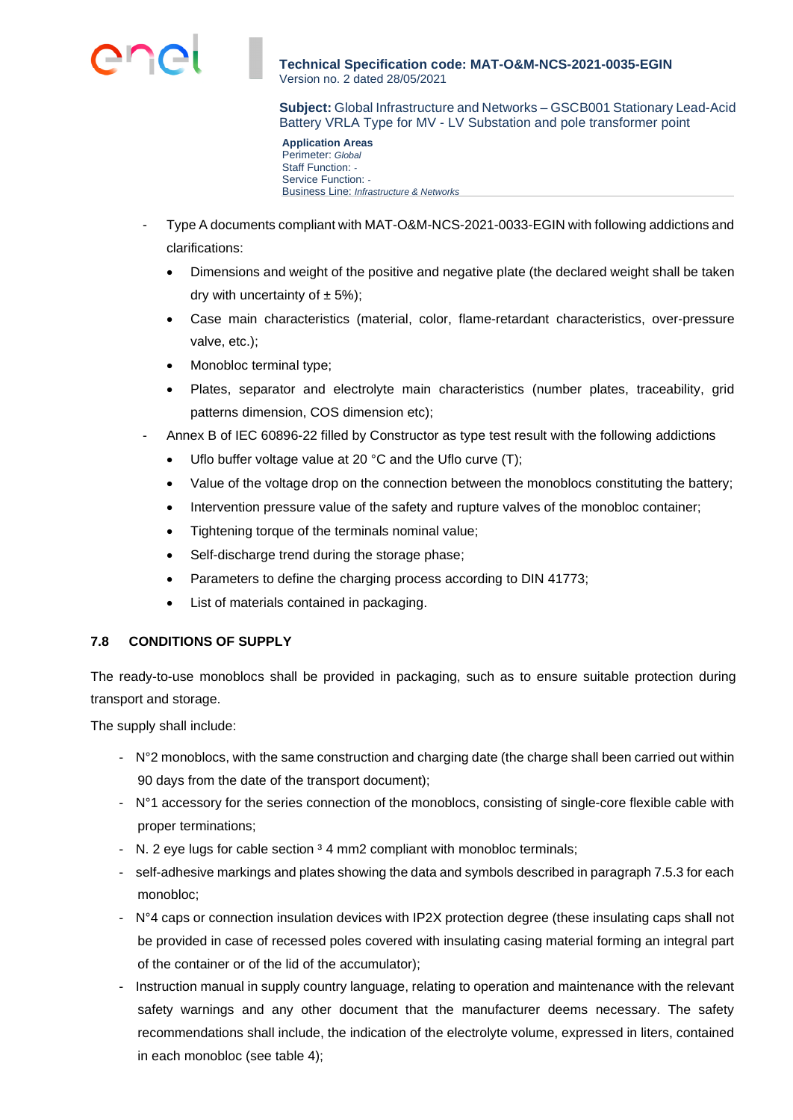**Subject:** Global Infrastructure and Networks – GSCB001 Stationary Lead-Acid Battery VRLA Type for MV - LV Substation and pole transformer point

**Application Areas**  Perimeter: *Global* Staff Function: *-*  Service Function: *-*  Business Line: *Infrastructure & Networks*

- Type A documents compliant with MAT-O&M-NCS-2021-0033-EGIN with following addictions and clarifications:
	- Dimensions and weight of the positive and negative plate (the declared weight shall be taken dry with uncertainty of  $\pm$  5%);
	- Case main characteristics (material, color, flame-retardant characteristics, over-pressure valve, etc.);
	- Monobloc terminal type;
	- Plates, separator and electrolyte main characteristics (number plates, traceability, grid patterns dimension, COS dimension etc);
- Annex B of IEC 60896-22 filled by Constructor as type test result with the following addictions
	- Uflo buffer voltage value at 20 °C and the Uflo curve (T);
	- Value of the voltage drop on the connection between the monoblocs constituting the battery;
	- Intervention pressure value of the safety and rupture valves of the monobloc container;
	- Tightening torque of the terminals nominal value;
	- Self-discharge trend during the storage phase;
	- Parameters to define the charging process according to DIN 41773;
	- List of materials contained in packaging.

# **7.8 CONDITIONS OF SUPPLY**

The ready-to-use monoblocs shall be provided in packaging, such as to ensure suitable protection during transport and storage.

The supply shall include:

- N°2 monoblocs, with the same construction and charging date (the charge shall been carried out within 90 days from the date of the transport document);
- N°1 accessory for the series connection of the monoblocs, consisting of single-core flexible cable with proper terminations;
- N. 2 eye lugs for cable section <sup>3</sup> 4 mm2 compliant with monobloc terminals;
- self-adhesive markings and plates showing the data and symbols described in paragraph 7.5.3 for each monobloc;
- N°4 caps or connection insulation devices with IP2X protection degree (these insulating caps shall not be provided in case of recessed poles covered with insulating casing material forming an integral part of the container or of the lid of the accumulator);
- Instruction manual in supply country language, relating to operation and maintenance with the relevant safety warnings and any other document that the manufacturer deems necessary. The safety recommendations shall include, the indication of the electrolyte volume, expressed in liters, contained in each monobloc (see table 4);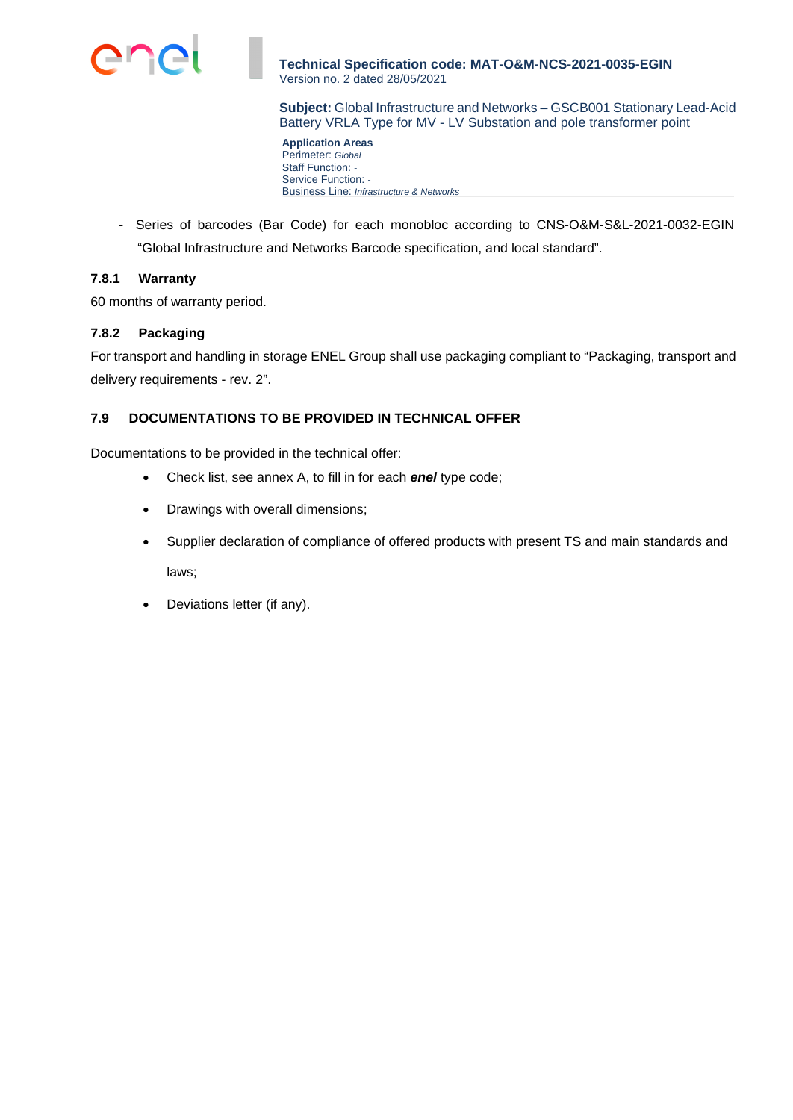

**Subject:** Global Infrastructure and Networks – GSCB001 Stationary Lead-Acid Battery VRLA Type for MV - LV Substation and pole transformer point

**Application Areas**  Perimeter: *Global* Staff Function: *-*  Service Function: *-*  Business Line: *Infrastructure & Networks*

- Series of barcodes (Bar Code) for each monobloc according to CNS-O&M-S&L-2021-0032-EGIN "Global Infrastructure and Networks Barcode specification, and local standard".

## **7.8.1 Warranty**

60 months of warranty period.

# **7.8.2 Packaging**

For transport and handling in storage ENEL Group shall use packaging compliant to "Packaging, transport and delivery requirements - rev. 2".

# **7.9 DOCUMENTATIONS TO BE PROVIDED IN TECHNICAL OFFER**

Documentations to be provided in the technical offer:

- Check list, see annex A, to fill in for each *enel* type code;
- Drawings with overall dimensions;
- Supplier declaration of compliance of offered products with present TS and main standards and laws;
- Deviations letter (if any).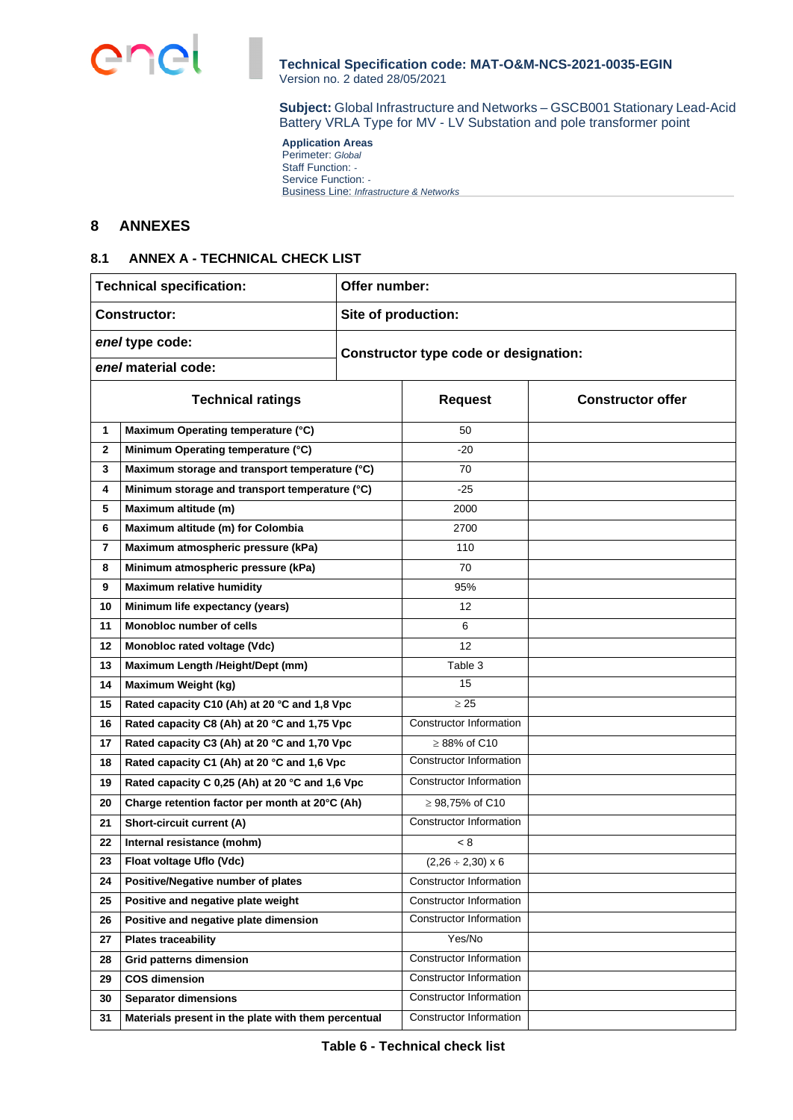

**Subject:** Global Infrastructure and Networks – GSCB001 Stationary Lead-Acid Battery VRLA Type for MV - LV Substation and pole transformer point

**Application Areas**  Perimeter: *Global* Staff Function: *-*  Service Function: *-*  Business Line: *Infrastructure & Networks*

# **8 ANNEXES**

## **8.1 ANNEX A - TECHNICAL CHECK LIST**

| <b>Technical specification:</b>            |                                                     | Offer number: |                                       |                          |  |  |  |
|--------------------------------------------|-----------------------------------------------------|---------------|---------------------------------------|--------------------------|--|--|--|
| <b>Constructor:</b><br>Site of production: |                                                     |               |                                       |                          |  |  |  |
| enel type code:                            |                                                     |               | Constructor type code or designation: |                          |  |  |  |
| enel material code:                        |                                                     |               |                                       |                          |  |  |  |
| <b>Technical ratings</b>                   |                                                     |               | <b>Request</b>                        | <b>Constructor offer</b> |  |  |  |
|                                            |                                                     |               |                                       |                          |  |  |  |
| 1                                          | Maximum Operating temperature (°C)                  |               | 50                                    |                          |  |  |  |
| $\mathbf{2}$                               | Minimum Operating temperature (°C)                  |               | $-20$                                 |                          |  |  |  |
| 3                                          | Maximum storage and transport temperature (°C)      |               | 70                                    |                          |  |  |  |
| 4                                          | Minimum storage and transport temperature (°C)      |               | $-25$                                 |                          |  |  |  |
| 5                                          | Maximum altitude (m)                                |               | 2000                                  |                          |  |  |  |
| 6                                          | Maximum altitude (m) for Colombia                   |               | 2700                                  |                          |  |  |  |
| $\overline{\mathbf{r}}$                    | Maximum atmospheric pressure (kPa)                  |               | 110                                   |                          |  |  |  |
| Minimum atmospheric pressure (kPa)<br>8    |                                                     | 70            |                                       |                          |  |  |  |
| <b>Maximum relative humidity</b><br>9      |                                                     | 95%           |                                       |                          |  |  |  |
| 10                                         | Minimum life expectancy (years)                     |               | 12                                    |                          |  |  |  |
| 11                                         | Monobloc number of cells                            |               | 6                                     |                          |  |  |  |
| 12                                         | Monobloc rated voltage (Vdc)                        |               | 12                                    |                          |  |  |  |
| 13                                         | Maximum Length /Height/Dept (mm)                    |               | Table 3                               |                          |  |  |  |
| 14                                         | Maximum Weight (kg)                                 |               | 15                                    |                          |  |  |  |
| 15                                         | Rated capacity C10 (Ah) at 20 °C and 1,8 Vpc        |               | $\geq 25$                             |                          |  |  |  |
| 16                                         | Rated capacity C8 (Ah) at 20 °C and 1,75 Vpc        |               | Constructor Information               |                          |  |  |  |
| 17                                         | Rated capacity C3 (Ah) at 20 °C and 1,70 Vpc        |               | $\geq$ 88% of C10                     |                          |  |  |  |
| 18                                         | Rated capacity C1 (Ah) at 20 °C and 1,6 Vpc         |               | Constructor Information               |                          |  |  |  |
| 19                                         | Rated capacity C 0,25 (Ah) at 20 °C and 1,6 Vpc     |               | Constructor Information               |                          |  |  |  |
| 20                                         | Charge retention factor per month at 20°C (Ah)      |               | ≥ 98,75% of C10                       |                          |  |  |  |
| 21                                         | Short-circuit current (A)                           |               | Constructor Information               |                          |  |  |  |
| 22                                         | Internal resistance (mohm)                          |               | < 8                                   |                          |  |  |  |
| 23                                         | Float voltage Uflo (Vdc)                            |               | $(2,26 \div 2,30) \times 6$           |                          |  |  |  |
| 24                                         | Positive/Negative number of plates                  |               | Constructor Information               |                          |  |  |  |
| 25                                         | Positive and negative plate weight                  |               | Constructor Information               |                          |  |  |  |
| 26                                         | Positive and negative plate dimension               |               | Constructor Information               |                          |  |  |  |
| 27                                         | <b>Plates traceability</b>                          |               | Yes/No                                |                          |  |  |  |
| 28                                         | <b>Grid patterns dimension</b>                      |               | Constructor Information               |                          |  |  |  |
| 29                                         | <b>COS dimension</b>                                |               | <b>Constructor Information</b>        |                          |  |  |  |
| 30                                         | <b>Separator dimensions</b>                         |               | <b>Constructor Information</b>        |                          |  |  |  |
| 31                                         | Materials present in the plate with them percentual |               | <b>Constructor Information</b>        |                          |  |  |  |